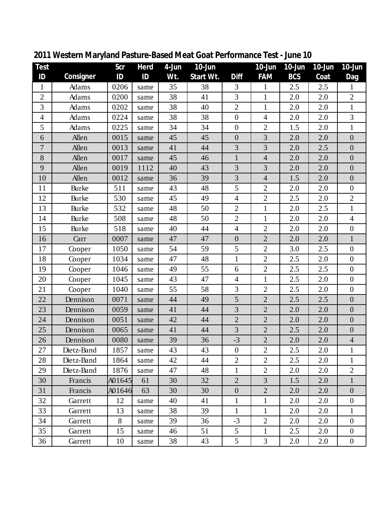| <b>Test</b>    |              | Scr    | <b>Herd</b> | $4 - Jun$ | 10-Jun    |                  | 10-Jun         | $10$ -Jun  | 10-Jun | $10 - Jun$       |
|----------------|--------------|--------|-------------|-----------|-----------|------------------|----------------|------------|--------|------------------|
| ID             | Consigner    | ID     | ID          | Wt.       | Start Wt. | <b>Diff</b>      | <b>FAM</b>     | <b>BCS</b> | Coat   | Dag              |
| $\mathbf{1}$   | Adams        | 0206   | same        | 35        | 38        | 3                | $\mathbf{1}$   | 2.5        | 2.5    | $\mathbf{1}$     |
| $\mathbf{2}$   | Adams        | 0200   | same        | 38        | 41        | 3                | $\mathbf{1}$   | 2.0        | 2.0    | $\overline{2}$   |
| 3              | Adams        | 0202   | same        | 38        | 40        | $\sqrt{2}$       | $\mathbf{1}$   | 2.0        | 2.0    | $\mathbf 1$      |
| $\overline{4}$ | Adams        | 0224   | same        | 38        | 38        | $\overline{0}$   | $\overline{4}$ | 2.0        | 2.0    | 3                |
| 5              | Adams        | 0225   | same        | 34        | 34        | $\boldsymbol{0}$ | $\overline{2}$ | 1.5        | 2.0    | $\mathbf{1}$     |
| 6              | Allen        | 0015   | same        | 45        | 45        | $\boldsymbol{0}$ | 3              | 2.0        | 2.0    | $\boldsymbol{0}$ |
| $\tau$         | Allen        | 0013   | same        | 41        | 44        | 3                | 3              | 2.0        | 2.5    | $\boldsymbol{0}$ |
| $8\,$          | Allen        | 0017   | same        | 45        | 46        | $\mathbf{1}$     | $\overline{4}$ | 2.0        | 2.0    | $\boldsymbol{0}$ |
| 9              | Allen        | 0019   | 1112        | 40        | 43        | 3                | 3              | 2.0        | 2.0    | $\boldsymbol{0}$ |
| 10             | Allen        | 0012   | same        | 36        | 39        | 3                | $\overline{4}$ | 1.5        | 2.0    | $\boldsymbol{0}$ |
| 11             | <b>Burke</b> | 511    | same        | 43        | 48        | 5                | $\mathbf{2}$   | 2.0        | 2.0    | $\boldsymbol{0}$ |
| 12             | <b>Burke</b> | 530    | same        | 45        | 49        | $\overline{4}$   | $\mathbf{2}$   | 2.5        | 2.0    | $\sqrt{2}$       |
| 13             | <b>Burke</b> | 532    | same        | 48        | 50        | $\overline{2}$   | $\mathbf{1}$   | 2.0        | 2.5    | $\mathbf{1}$     |
| 14             | <b>Burke</b> | 508    | same        | 48        | 50        | $\overline{2}$   | $\mathbf{1}$   | 2.0        | 2.0    | $\overline{4}$   |
| 15             | <b>Burke</b> | 518    | same        | 40        | 44        | $\overline{4}$   | $\overline{2}$ | 2.0        | 2.0    | $\boldsymbol{0}$ |
| 16             | Carr         | 0007   | same        | 47        | 47        | $\boldsymbol{0}$ | $\overline{2}$ | 2.0        | 2.0    | $\mathbf{1}$     |
| 17             | Cooper       | 1050   | same        | 54        | 59        | 5                | $\sqrt{2}$     | 3.0        | 2.5    | $\boldsymbol{0}$ |
| 18             | Cooper       | 1034   | same        | 47        | 48        | $\mathbf{1}$     | $\overline{2}$ | 2.5        | 2.0    | $\boldsymbol{0}$ |
| 19             | Cooper       | 1046   | same        | 49        | 55        | 6                | $\mathbf{2}$   | 2.5        | 2.5    | $\boldsymbol{0}$ |
| 20             | Cooper       | 1045   | same        | 43        | 47        | $\overline{4}$   | $\mathbf{1}$   | 2.5        | 2.0    | $\boldsymbol{0}$ |
| 21             | Cooper       | 1040   | same        | 55        | 58        | 3                | $\overline{2}$ | 2.5        | 2.0    | $\boldsymbol{0}$ |
| 22             | Dennison     | 0071   | same        | 44        | 49        | 5                | $\overline{2}$ | 2.5        | 2.5    | $\boldsymbol{0}$ |
| 23             | Dennison     | 0059   | same        | 41        | 44        | 3                | $\overline{2}$ | 2.0        | 2.0    | $\boldsymbol{0}$ |
| 24             | Dennison     | 0051   | same        | 42        | 44        | $\overline{2}$   | $\overline{2}$ | 2.0        | 2.0    | $\boldsymbol{0}$ |
| 25             | Dennison     | 0065   | same        | 41        | 44        | 3                | $\mathbf{2}$   | 2.5        | 2.0    | $\boldsymbol{0}$ |
| 26             | Dennison     | 0080   | same        | 39        | 36        | $-3$             | $\overline{2}$ | 2.0        | 2.0    | $\overline{4}$   |
| 27             | Dietz-Band   | 1857   | same        | 43        | 43        | $\boldsymbol{0}$ | $\overline{2}$ | 2.5        | 2.0    | 1                |
| 28             | Dietz-Band   | 1864   | same        | 42        | 44        | $\overline{2}$   | $\overline{2}$ | 2.5        | 2.0    | $\mathbf{1}$     |
| 29             | Dietz-Band   | 1876   | same        | 47        | 48        | $\mathbf{1}$     | $\overline{2}$ | 2.0        | 2.0    | $\overline{2}$   |
| 30             | Francis      | A01645 | 61          | 30        | 32        | $\overline{2}$   | 3              | 1.5        | 2.0    | $\mathbf{1}$     |
| 31             | Francis      | A01646 | 63          | 30        | 30        | $\boldsymbol{0}$ | $\overline{2}$ | 2.0        | 2.0    | $\boldsymbol{0}$ |
| 32             | Garrett      | 12     | same        | 40        | 41        | $\mathbf{1}$     | $\mathbf{1}$   | 2.0        | 2.0    | $\mathbf{0}$     |
| 33             | Garrett      | 13     | same        | 38        | 39        | $\mathbf{1}$     | $\mathbf{1}$   | 2.0        | 2.0    | $\mathbf{1}$     |
| 34             | Garrett      | 8      | same        | 39        | 36        | $-3$             | $\overline{2}$ | 2.0        | 2.0    | $\overline{0}$   |
| 35             | Garrett      | 15     | same        | 46        | 51        | 5                | $\mathbf{1}$   | 2.5        | 2.0    | $\overline{0}$   |
| 36             | Garrett      | 10     | same        | 38        | 43        | 5                | 3              | 2.0        | 2.0    | $\overline{0}$   |

**Western Maryland Pasture-Based Meat Goat Performance Test - June 10**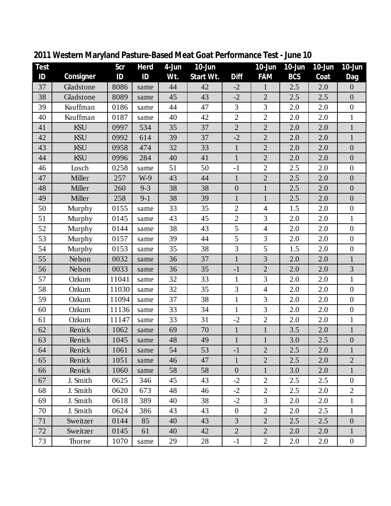| Test |           | Scr   | Herd    | 4-Jun | $10 - Jun$ |                  | $10$ -Jun      | 10-Jun     | $10$ -Jun | $10$ -Jun        |
|------|-----------|-------|---------|-------|------------|------------------|----------------|------------|-----------|------------------|
| ID   | Consigner | ID    | ID      | Wt.   | Start Wt.  | Diff             | <b>FAM</b>     | <b>BCS</b> | Coat      | Dag              |
| 37   | Gladstone | 8086  | same    | 44    | 42         | $-2$             | $\mathbf{1}$   | 2.5        | 2.0       | $\boldsymbol{0}$ |
| 38   | Gladstone | 8089  | same    | 45    | 43         | $-2$             | $\overline{2}$ | 2.5        | 2.5       | $\overline{0}$   |
| 39   | Kauffman  | 0186  | same    | 44    | 47         | 3                | 3              | 2.0        | 2.0       | $\boldsymbol{0}$ |
| 40   | Kauffman  | 0187  | same    | 40    | 42         | $\overline{2}$   | $\overline{2}$ | 2.0        | 2.0       | $\mathbf{1}$     |
| 41   | KSU       | 0997  | 534     | 35    | 37         | $\overline{2}$   | $\overline{2}$ | 2.0        | 2.0       | $\mathbf{1}$     |
| 42   | KSU       | 0992  | 614     | 39    | 37         | $-2$             | $\overline{2}$ | 2.0        | 2.0       | $\mathbf{1}$     |
| 43   | KSU       | 0958  | 474     | 32    | 33         | $\mathbf{1}$     | $\overline{2}$ | 2.0        | 2.0       | $\overline{0}$   |
| 44   | KSU       | 0996  | 284     | 40    | 41         | $\mathbf{1}$     | $\overline{2}$ | 2.0        | 2.0       | $\boldsymbol{0}$ |
| 46   | Losch     | 0258  | same    | 51    | 50         | $-1$             | $\sqrt{2}$     | 2.5        | 2.0       | $\boldsymbol{0}$ |
| 47   | Miller    | 257   | $W-9$   | 43    | 44         | $\mathbf{1}$     | $\overline{2}$ | 2.5        | 2.0       | $\overline{0}$   |
| 48   | Miller    | 260   | $9 - 3$ | 38    | 38         | $\boldsymbol{0}$ | $\mathbf{1}$   | 2.5        | 2.0       | $\boldsymbol{0}$ |
| 49   | Miller    | 258   | $9 - 1$ | 38    | 39         | $\mathbf{1}$     | $\mathbf{1}$   | 2.5        | 2.0       | $\boldsymbol{0}$ |
| 50   | Murphy    | 0155  | same    | 33    | 35         | $\overline{2}$   | $\overline{4}$ | 1.5        | 2.0       | $\overline{0}$   |
| 51   | Murphy    | 0145  | same    | 43    | 45         | $\overline{2}$   | 3              | 2.0        | 2.0       | $\mathbf{1}$     |
| 52   | Murphy    | 0144  | same    | 38    | 43         | 5                | $\overline{4}$ | 2.0        | 2.0       | $\boldsymbol{0}$ |
| 53   | Murphy    | 0157  | same    | 39    | 44         | 5                | 3              | 2.0        | 2.0       | $\boldsymbol{0}$ |
| 54   | Murphy    | 0153  | same    | 35    | 38         | 3                | 5              | 1.5        | 2.0       | $\boldsymbol{0}$ |
| 55   | Nelson    | 0032  | same    | 36    | 37         | $\mathbf{1}$     | 3              | 2.0        | 2.0       | $\mathbf{1}$     |
| 56   | Nelson    | 0033  | same    | 36    | 35         | $-1$             | $\overline{2}$ | 2.0        | 2.0       | 3                |
| 57   | Ozkum     | 11041 | same    | 32    | 33         | $\mathbf{1}$     | 3              | 2.0        | 2.0       | $\mathbf{1}$     |
| 58   | Ozkum     | 11030 | same    | 32    | 35         | 3                | $\overline{4}$ | 2.0        | 2.0       | $\boldsymbol{0}$ |
| 59   | Ozkum     | 11094 | same    | 37    | 38         | $\mathbf{1}$     | 3              | 2.0        | 2.0       | $\boldsymbol{0}$ |
| 60   | Ozkum     | 11136 | same    | 33    | 34         | $\mathbf{1}$     | 3              | 2.0        | 2.0       | $\boldsymbol{0}$ |
| 61   | Ozkum     | 11147 | same    | 33    | 31         | $-2$             | $\overline{2}$ | 2.0        | 2.0       | $\mathbf{1}$     |
| 62   | Renick    | 1062  | same    | 69    | 70         | $\mathbf{1}$     | $\mathbf{1}$   | 3.5        | 2.0       | $\mathbf{1}$     |
| 63   | Renick    | 1045  | same    | 48    | 49         | $\mathbf{1}$     | $\mathbf{1}$   | 3.0        | 2.5       | $\boldsymbol{0}$ |
| 64   | Renick    | 1061  | same    | 54    | 53         | $-1$             | $\overline{2}$ | 2.5        | 2.0       | 1                |
| 65   | Renick    | 1051  | same    | 46    | 47         | $\mathbf{1}$     | $\overline{2}$ | 2.5        | 2.0       | $\overline{2}$   |
| 66   | Renick    | 1060  | same    | 58    | 58         | $\overline{0}$   | $\mathbf{1}$   | 3.0        | 2.0       | $\mathbf{1}$     |
| 67   | J. Smith  | 0625  | 346     | 45    | 43         | $-2$             | $\overline{2}$ | 2.5        | 2.5       | $\mathbf{0}$     |
| 68   | J. Smith  | 0620  | 673     | 48    | 46         | $-2$             | $\overline{2}$ | 2.5        | 2.0       | $\overline{2}$   |
| 69   | J. Smith  | 0618  | 389     | 40    | 38         | $-2$             | 3              | 2.0        | 2.0       | $\mathbf{1}$     |
| 70   | J. Smith  | 0624  | 386     | 43    | 43         | $\mathbf{0}$     | $\overline{2}$ | 2.0        | 2.5       | $\mathbf{1}$     |
| 71   | Sweitzer  | 0144  | 85      | 40    | 43         | 3                | $\overline{2}$ | 2.5        | 2.5       | $\boldsymbol{0}$ |
| 72   | Sweitzer  | 0145  | 61      | 40    | 42         | $\overline{2}$   | $\overline{2}$ | 2.0        | 2.0       | $\mathbf{1}$     |
| 73   | Thorne    | 1070  | same    | 29    | 28         | $-1$             | $\overline{2}$ | 2.0        | 2.0       | $\overline{0}$   |

**Western Maryland Pasture-Based Meat Goat Performance Test - June 10**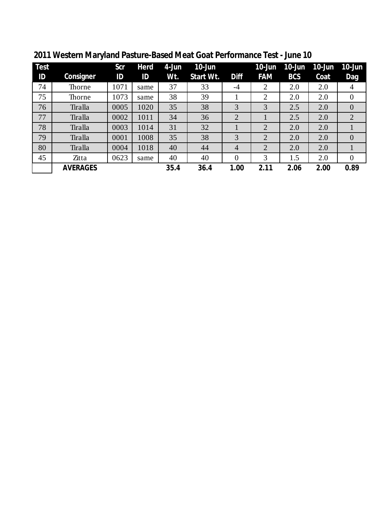| <b>Test</b> |                 | Scr  | Herd | 4-Jun | $10$ -Jun |                | $10$ -Jun      | $10$ -Jun  | $10$ -Jun | $10$ -Jun      |
|-------------|-----------------|------|------|-------|-----------|----------------|----------------|------------|-----------|----------------|
| ID          | Consigner       | ID   | ID   | Wt.   | Start Wt. | <b>Diff</b>    | <b>FAM</b>     | <b>BCS</b> | Coat      | Dag            |
| 74          | Thorne          | 1071 | same | 37    | 33        | $-4$           | 2              | 2.0        | 2.0       | 4              |
| 75          | Thorne          | 1073 | same | 38    | 39        |                | $\overline{2}$ | 2.0        | 2.0       | $\overline{0}$ |
| 76          | Tiralla         | 0005 | 1020 | 35    | 38        | 3              | 3              | 2.5        | 2.0       | $\overline{0}$ |
| 77          | Tiralla         | 0002 | 1011 | 34    | 36        | $\overline{2}$ |                | 2.5        | 2.0       | $\overline{2}$ |
| 78          | Tiralla         | 0003 | 1014 | 31    | 32        |                | $\overline{2}$ | 2.0        | 2.0       |                |
| 79          | Tiralla         | 0001 | 1008 | 35    | 38        | 3              | $\overline{2}$ | 2.0        | 2.0       | $\overline{0}$ |
| 80          | Tiralla         | 0004 | 1018 | 40    | 44        | $\overline{4}$ | $\overline{2}$ | 2.0        | 2.0       |                |
| 45          | Zitta           | 0623 | same | 40    | 40        | $\overline{0}$ | 3              | 1.5        | 2.0       | $\overline{0}$ |
|             | <b>AVERAGES</b> |      |      | 35.4  | 36.4      | 1.00           | 2.11           | 2.06       | 2.00      | 0.89           |

**Western Maryland Pasture-Based Meat Goat Performance Test - June 10**